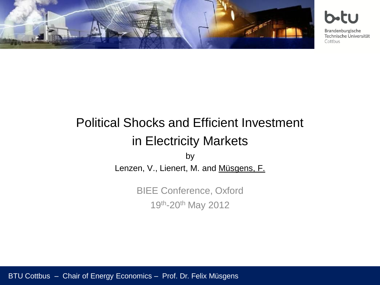

Brandenburgische

Technische Universität Cottbus

## Political Shocks and Efficient Investment in Electricity Markets

by Lenzen, V., Lienert, M. and Müsgens, F.

> BIEE Conference, Oxford 19th-20th May 2012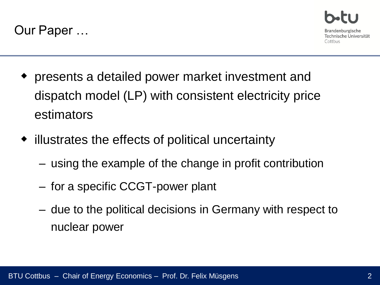



- presents a detailed power market investment and dispatch model (LP) with consistent electricity price estimators
- illustrates the effects of political uncertainty
	- using the example of the change in profit contribution
	- for a specific CCGT-power plant
	- due to the political decisions in Germany with respect to nuclear power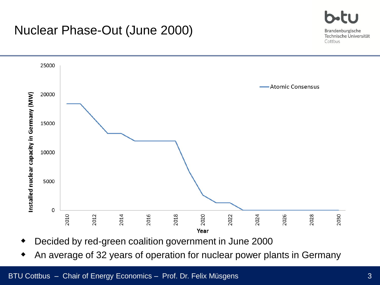## Nuclear Phase-Out (June 2000)



- Decided by red-green coalition government in June 2000
- An average of 32 years of operation for nuclear power plants in Germany

Brandenburgische Technische Universität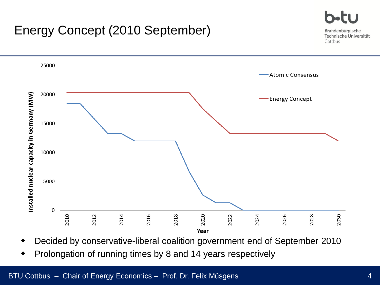## Energy Concept (2010 September)





- Decided by conservative-liberal coalition government end of September 2010
- Prolongation of running times by 8 and 14 years respectively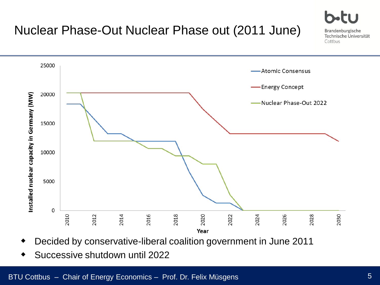

- Decided by conservative-liberal coalition government in June 2011
- Successive shutdown until 2022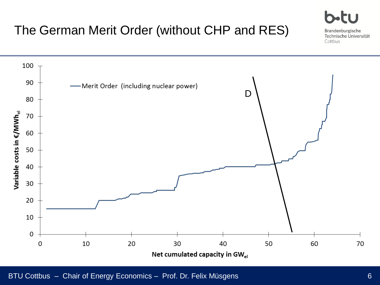

Cottbus

## The German Merit Order (without CHP and RES)

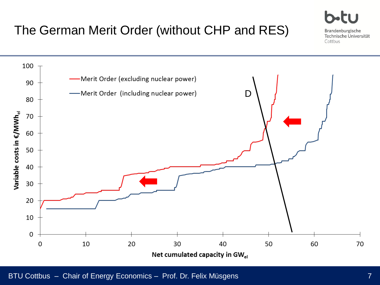## The German Merit Order (without CHP and RES)



BTU Cottbus – Chair of Energy Economics – Prof. Dr. Felix Müsgens

Brandenburgische Technische Universität

Cottbus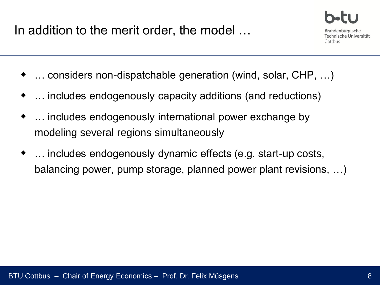In addition to the merit order, the model …



- … considers non-dispatchable generation (wind, solar, CHP, …)
- … includes endogenously capacity additions (and reductions)
- … includes endogenously international power exchange by modeling several regions simultaneously
- … includes endogenously dynamic effects (e.g. start-up costs, balancing power, pump storage, planned power plant revisions, …)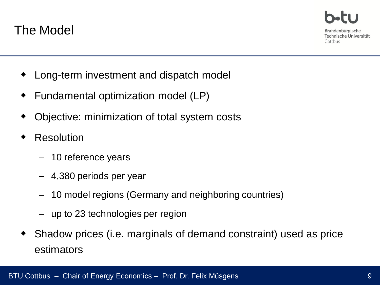

Brandenburgische Technische Universität Cottbus

- Long-term investment and dispatch model
- Fundamental optimization model (LP)
- Objective: minimization of total system costs
- Resolution
	- 10 reference years
	- 4,380 periods per year
	- 10 model regions (Germany and neighboring countries)
	- up to 23 technologies per region
- Shadow prices (i.e. marginals of demand constraint) used as price estimators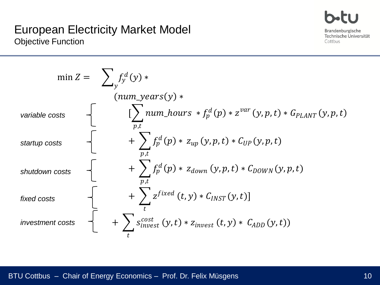#### Fi i Brandenburgische Technische Universität Cottbus

#### European Electricity Market Model Objective Function

$$
\min Z = \sum_{y} f_{y}^{d}(y) * \quad (\text{num\_years}(y) * \text{trainable costs} \quad \left\{ \quad [\sum_{p,t} \text{num\_hours} * f_{p}^{d}(p) * z^{\text{var}}(y, p, t) * G_{PLANT}(y, p, t) \right\} \quad \text{startup costs} \quad \left\{ \quad + \sum_{p,t} f_{p}^{d}(p) * z_{up}(y, p, t) * C_{UP}(y, p, t) \right\}
$$
\n
$$
\text{shutdown costs} \quad \left\{ \quad + \sum_{p,t} f_{p}^{d}(p) * z_{down}(y, p, t) * C_{DOWN}(y, p, t) \right\}
$$
\n
$$
\text{fixed costs} \quad \left\{ \quad + \sum_{t} z^{fixed}(t, y) * C_{INST}(y, t) \right\}
$$
\n
$$
\text{investment costs} \quad \left\{ \quad + \sum_{t} s_{\text{invest}}^{\text{cost}}(y, t) * z_{\text{invest}}(t, y) * C_{ADD}(y, t) \right\}
$$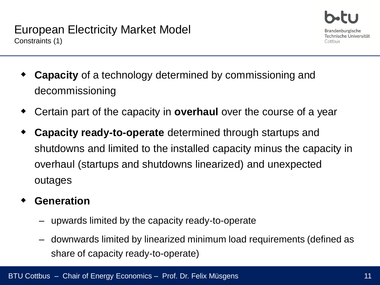- **Capacity** of a technology determined by commissioning and decommissioning
- Certain part of the capacity in **overhaul** over the course of a year
- **Capacity ready-to-operate** determined through startups and shutdowns and limited to the installed capacity minus the capacity in overhaul (startups and shutdowns linearized) and unexpected outages
- **Generation**
	- upwards limited by the capacity ready-to-operate
	- downwards limited by linearized minimum load requirements (defined as share of capacity ready-to-operate)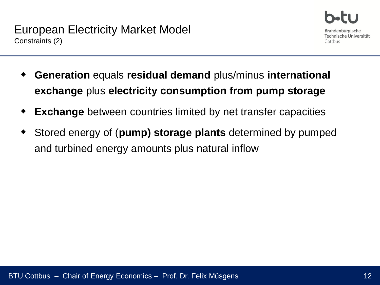

- **Generation** equals **residual demand** plus/minus **international exchange** plus **electricity consumption from pump storage**
- **Exchange** between countries limited by net transfer capacities
- Stored energy of (**pump) storage plants** determined by pumped and turbined energy amounts plus natural inflow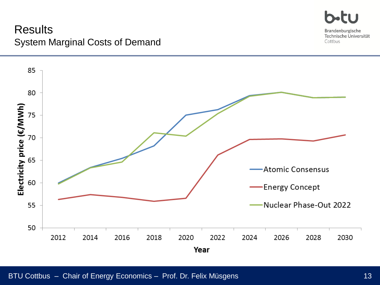

Brandenburgische Technische Universität Cottbus

#### **Results** System Marginal Costs of Demand

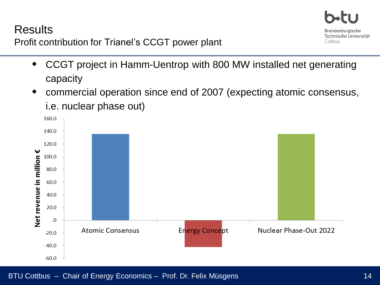### **Results**



Profit contribution for Trianel's CCGT power plant

- CCGT project in Hamm-Uentrop with 800 MW installed net generating capacity
- commercial operation since end of 2007 (expecting atomic consensus, i.e. nuclear phase out)

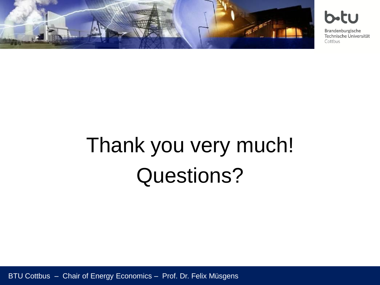

b-tu

Brandenburgische Technische Universität Cottbus

# Thank you very much! Questions?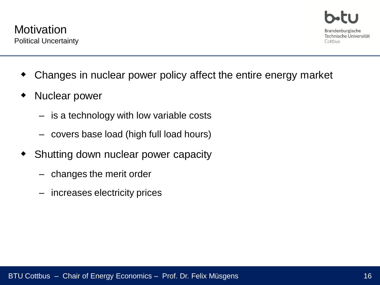- Changes in nuclear power policy affect the entire energy market
- Nuclear power
	- is a technology with low variable costs
	- covers base load (high full load hours)
- Shutting down nuclear power capacity
	- changes the merit order
	- increases electricity prices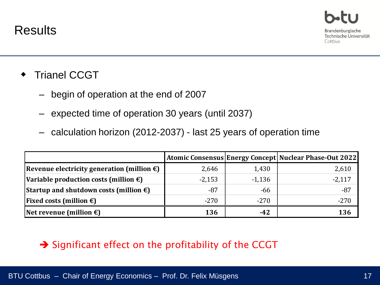- Trianel CCGT
	- begin of operation at the end of 2007
	- expected time of operation 30 years (until 2037)
	- calculation horizon (2012-2037) last 25 years of operation time

|                                                      |          |          | <b>Atomic Consensus Energy Concept Nuclear Phase-Out 2022</b> |
|------------------------------------------------------|----------|----------|---------------------------------------------------------------|
| Revenue electricity generation (million $\epsilon$ ) | 2,646    | 1,430    | 2,610                                                         |
| Variable production costs (million €)                | $-2,153$ | $-1,136$ | $-2,117$                                                      |
| Startup and shutdown costs (million $\epsilon$ )     | $-87$    | $-66$    | $-87$                                                         |
| <b>Fixed costs (million <math>\epsilon</math>)</b>   | $-270$   | $-270$   | $-270$                                                        |
| Net revenue (million $\epsilon$ )                    | 136      | $-42$    | 136                                                           |

#### $\rightarrow$  Significant effect on the profitability of the CCGT